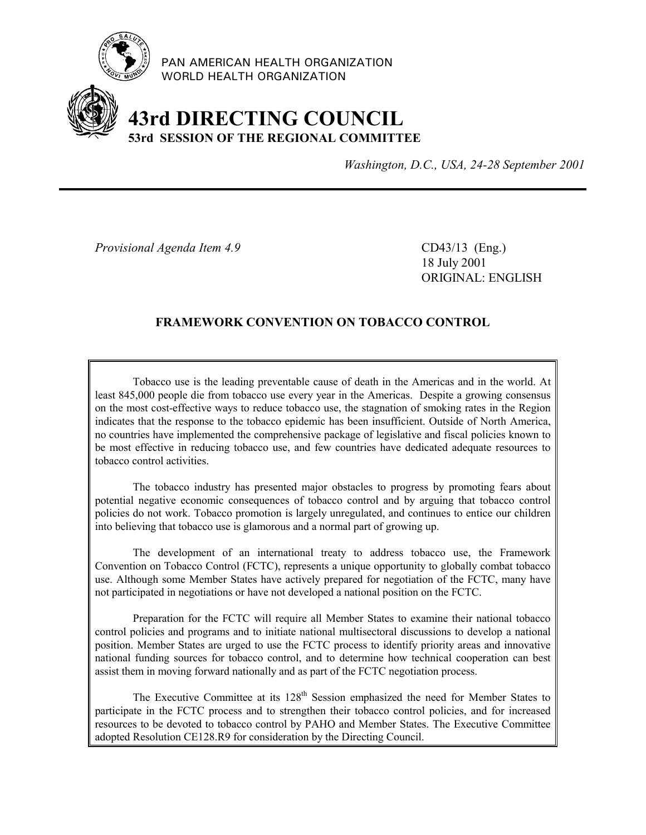

PAN AMERICAN HEALTH ORGANIZATION WORLD HEALTH ORGANIZATION

# **43rd DIRECTING COUNCIL 53rd SESSION OF THE REGIONAL COMMITTEE**

*Washington, D.C., USA, 24-28 September 2001*

*Provisional Agenda Item 4.9* CD43/13 (Eng.)

18 July 2001 ORIGINAL: ENGLISH

# **FRAMEWORK CONVENTION ON TOBACCO CONTROL**

Tobacco use is the leading preventable cause of death in the Americas and in the world. At least 845,000 people die from tobacco use every year in the Americas. Despite a growing consensus on the most cost-effective ways to reduce tobacco use, the stagnation of smoking rates in the Region indicates that the response to the tobacco epidemic has been insufficient. Outside of North America, no countries have implemented the comprehensive package of legislative and fiscal policies known to be most effective in reducing tobacco use, and few countries have dedicated adequate resources to tobacco control activities.

The tobacco industry has presented major obstacles to progress by promoting fears about potential negative economic consequences of tobacco control and by arguing that tobacco control policies do not work. Tobacco promotion is largely unregulated, and continues to entice our children into believing that tobacco use is glamorous and a normal part of growing up.

The development of an international treaty to address tobacco use, the Framework Convention on Tobacco Control (FCTC), represents a unique opportunity to globally combat tobacco use. Although some Member States have actively prepared for negotiation of the FCTC, many have not participated in negotiations or have not developed a national position on the FCTC.

Preparation for the FCTC will require all Member States to examine their national tobacco control policies and programs and to initiate national multisectoral discussions to develop a national position. Member States are urged to use the FCTC process to identify priority areas and innovative national funding sources for tobacco control, and to determine how technical cooperation can best assist them in moving forward nationally and as part of the FCTC negotiation process.

The Executive Committee at its  $128<sup>th</sup>$  Session emphasized the need for Member States to participate in the FCTC process and to strengthen their tobacco control policies, and for increased resources to be devoted to tobacco control by PAHO and Member States. The Executive Committee adopted Resolution CE128.R9 for consideration by the Directing Council.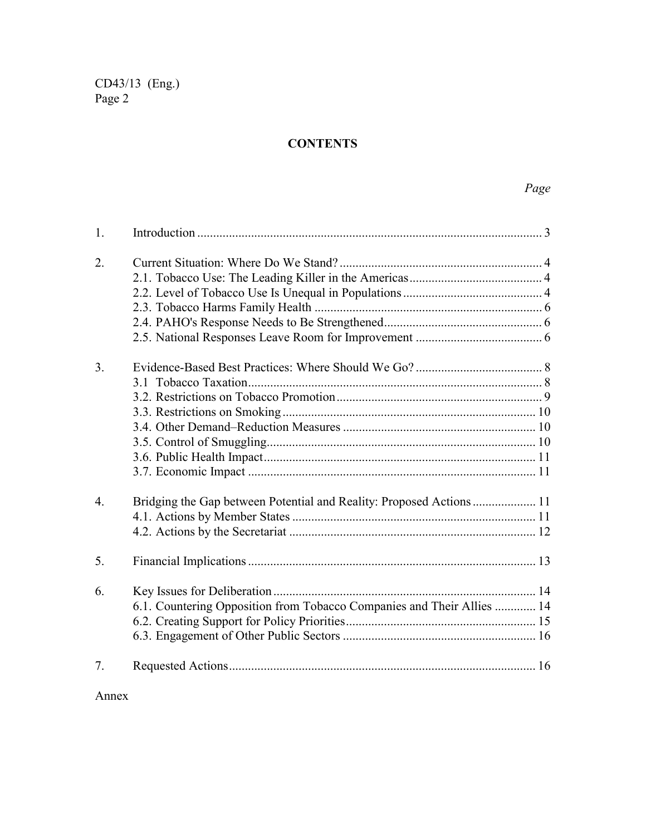# **CONTENTS**

| $\mathbf{1}$ .   |                                                                        |    |  |  |  |  |  |  |
|------------------|------------------------------------------------------------------------|----|--|--|--|--|--|--|
| 2.               |                                                                        |    |  |  |  |  |  |  |
|                  |                                                                        |    |  |  |  |  |  |  |
|                  |                                                                        |    |  |  |  |  |  |  |
|                  |                                                                        |    |  |  |  |  |  |  |
|                  |                                                                        |    |  |  |  |  |  |  |
|                  |                                                                        |    |  |  |  |  |  |  |
| 3 <sub>1</sub>   |                                                                        |    |  |  |  |  |  |  |
|                  |                                                                        |    |  |  |  |  |  |  |
|                  |                                                                        |    |  |  |  |  |  |  |
|                  |                                                                        |    |  |  |  |  |  |  |
|                  |                                                                        |    |  |  |  |  |  |  |
|                  |                                                                        |    |  |  |  |  |  |  |
|                  |                                                                        |    |  |  |  |  |  |  |
|                  |                                                                        |    |  |  |  |  |  |  |
| $\overline{4}$ . | Bridging the Gap between Potential and Reality: Proposed Actions 11    |    |  |  |  |  |  |  |
|                  |                                                                        |    |  |  |  |  |  |  |
|                  |                                                                        |    |  |  |  |  |  |  |
| 5.               |                                                                        |    |  |  |  |  |  |  |
| 6.               |                                                                        |    |  |  |  |  |  |  |
|                  | 6.1. Countering Opposition from Tobacco Companies and Their Allies  14 |    |  |  |  |  |  |  |
|                  |                                                                        |    |  |  |  |  |  |  |
|                  |                                                                        |    |  |  |  |  |  |  |
| 7.               |                                                                        | 16 |  |  |  |  |  |  |

Annex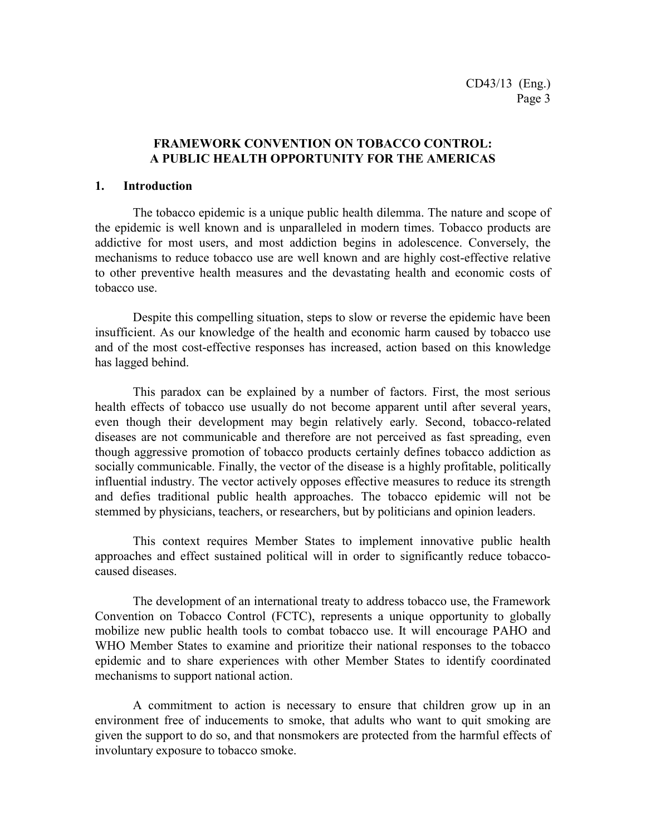## **FRAMEWORK CONVENTION ON TOBACCO CONTROL: A PUBLIC HEALTH OPPORTUNITY FOR THE AMERICAS**

#### **1. Introduction**

The tobacco epidemic is a unique public health dilemma. The nature and scope of the epidemic is well known and is unparalleled in modern times. Tobacco products are addictive for most users, and most addiction begins in adolescence. Conversely, the mechanisms to reduce tobacco use are well known and are highly cost-effective relative to other preventive health measures and the devastating health and economic costs of tobacco use.

Despite this compelling situation, steps to slow or reverse the epidemic have been insufficient. As our knowledge of the health and economic harm caused by tobacco use and of the most cost-effective responses has increased, action based on this knowledge has lagged behind.

This paradox can be explained by a number of factors. First, the most serious health effects of tobacco use usually do not become apparent until after several years, even though their development may begin relatively early. Second, tobacco-related diseases are not communicable and therefore are not perceived as fast spreading, even though aggressive promotion of tobacco products certainly defines tobacco addiction as socially communicable. Finally, the vector of the disease is a highly profitable, politically influential industry. The vector actively opposes effective measures to reduce its strength and defies traditional public health approaches. The tobacco epidemic will not be stemmed by physicians, teachers, or researchers, but by politicians and opinion leaders.

This context requires Member States to implement innovative public health approaches and effect sustained political will in order to significantly reduce tobaccocaused diseases.

The development of an international treaty to address tobacco use, the Framework Convention on Tobacco Control (FCTC), represents a unique opportunity to globally mobilize new public health tools to combat tobacco use. It will encourage PAHO and WHO Member States to examine and prioritize their national responses to the tobacco epidemic and to share experiences with other Member States to identify coordinated mechanisms to support national action.

A commitment to action is necessary to ensure that children grow up in an environment free of inducements to smoke, that adults who want to quit smoking are given the support to do so, and that nonsmokers are protected from the harmful effects of involuntary exposure to tobacco smoke.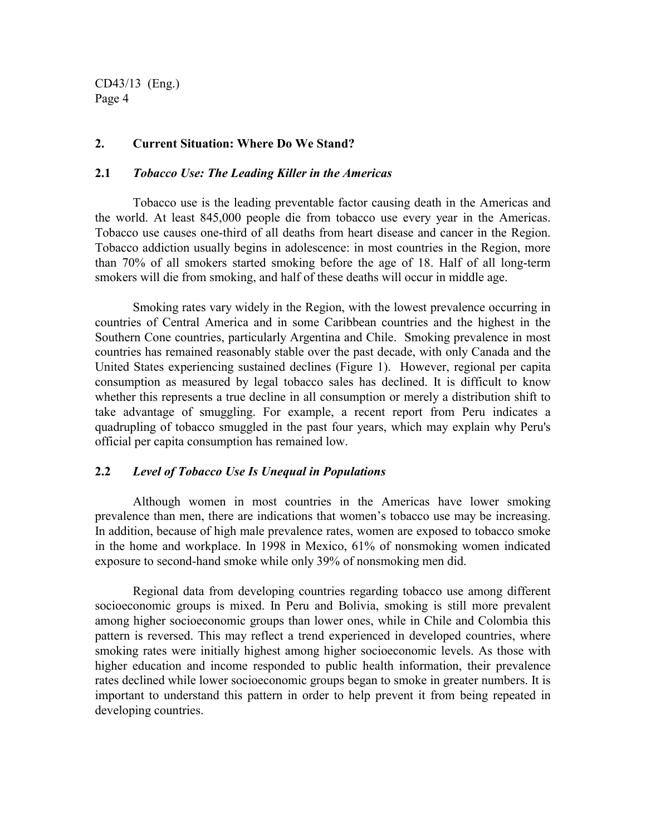#### **2. Current Situation: Where Do We Stand?**

#### **2.1** *Tobacco Use: The Leading Killer in the Americas*

Tobacco use is the leading preventable factor causing death in the Americas and the world. At least 845,000 people die from tobacco use every year in the Americas. Tobacco use causes one-third of all deaths from heart disease and cancer in the Region. Tobacco addiction usually begins in adolescence: in most countries in the Region, more than 70% of all smokers started smoking before the age of 18. Half of all long-term smokers will die from smoking, and half of these deaths will occur in middle age.

Smoking rates vary widely in the Region, with the lowest prevalence occurring in countries of Central America and in some Caribbean countries and the highest in the Southern Cone countries, particularly Argentina and Chile. Smoking prevalence in most countries has remained reasonably stable over the past decade, with only Canada and the United States experiencing sustained declines (Figure 1). However, regional per capita consumption as measured by legal tobacco sales has declined. It is difficult to know whether this represents a true decline in all consumption or merely a distribution shift to take advantage of smuggling. For example, a recent report from Peru indicates a quadrupling of tobacco smuggled in the past four years, which may explain why Peru's official per capita consumption has remained low.

#### **2.2** *Level of Tobacco Use Is Unequal in Populations*

Although women in most countries in the Americas have lower smoking prevalence than men, there are indications that women's tobacco use may be increasing. In addition, because of high male prevalence rates, women are exposed to tobacco smoke in the home and workplace. In 1998 in Mexico, 61% of nonsmoking women indicated exposure to second-hand smoke while only 39% of nonsmoking men did.

Regional data from developing countries regarding tobacco use among different socioeconomic groups is mixed. In Peru and Bolivia, smoking is still more prevalent among higher socioeconomic groups than lower ones, while in Chile and Colombia this pattern is reversed. This may reflect a trend experienced in developed countries, where smoking rates were initially highest among higher socioeconomic levels. As those with higher education and income responded to public health information, their prevalence rates declined while lower socioeconomic groups began to smoke in greater numbers. It is important to understand this pattern in order to help prevent it from being repeated in developing countries.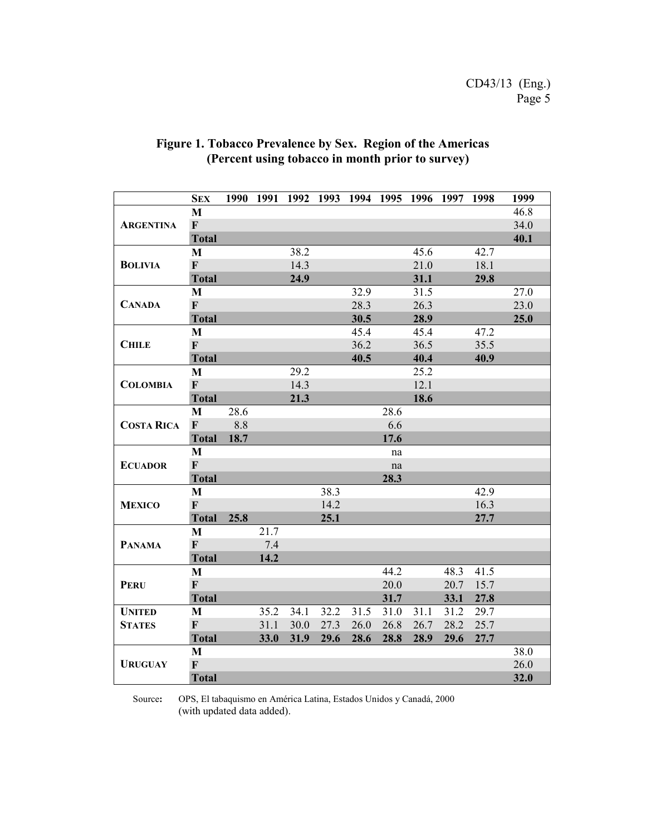|                   | <b>SEX</b>                |      |      |      |      |      | 1990 1991 1992 1993 1994 1995 1996 1997 |      |      | 1998 | 1999 |
|-------------------|---------------------------|------|------|------|------|------|-----------------------------------------|------|------|------|------|
|                   | M                         |      |      |      |      |      |                                         |      |      |      | 46.8 |
| <b>ARGENTINA</b>  | $\mathbf{F}$              |      |      |      |      |      |                                         |      |      |      | 34.0 |
|                   | <b>Total</b>              |      |      |      |      |      |                                         |      |      |      | 40.1 |
|                   | M                         |      |      | 38.2 |      |      |                                         | 45.6 |      | 42.7 |      |
| <b>BOLIVIA</b>    | $\mathbf{F}$              |      |      | 14.3 |      |      |                                         | 21.0 |      | 18.1 |      |
|                   | <b>Total</b>              |      |      | 24.9 |      |      |                                         | 31.1 |      | 29.8 |      |
|                   | M                         |      |      |      |      | 32.9 |                                         | 31.5 |      |      | 27.0 |
| <b>CANADA</b>     | $\mathbf{F}$              |      |      |      |      | 28.3 |                                         | 26.3 |      |      | 23.0 |
|                   | <b>Total</b>              |      |      |      |      | 30.5 |                                         | 28.9 |      |      | 25.0 |
|                   | $\mathbf{M}$              |      |      |      |      | 45.4 |                                         | 45.4 |      | 47.2 |      |
| <b>CHILE</b>      | $\mathbf{F}$              |      |      |      |      | 36.2 |                                         | 36.5 |      | 35.5 |      |
|                   | <b>Total</b>              |      |      |      |      | 40.5 |                                         | 40.4 |      | 40.9 |      |
|                   | M                         |      |      | 29.2 |      |      |                                         | 25.2 |      |      |      |
| <b>COLOMBIA</b>   | $\mathbf{F}$              |      |      | 14.3 |      |      |                                         | 12.1 |      |      |      |
|                   | <b>Total</b>              |      |      | 21.3 |      |      |                                         | 18.6 |      |      |      |
|                   | M                         | 28.6 |      |      |      |      | 28.6                                    |      |      |      |      |
| <b>COSTA RICA</b> | $\mathbf{F}$              | 8.8  |      |      |      |      | 6.6                                     |      |      |      |      |
|                   | <b>Total</b>              | 18.7 |      |      |      |      | 17.6                                    |      |      |      |      |
|                   | M                         |      |      |      |      |      | na                                      |      |      |      |      |
| <b>ECUADOR</b>    | $\mathbf{F}$              |      |      |      |      |      | $\operatorname{na}$                     |      |      |      |      |
|                   | <b>Total</b>              |      |      |      |      |      | 28.3                                    |      |      |      |      |
|                   | $\mathbf{M}$              |      |      |      | 38.3 |      |                                         |      |      | 42.9 |      |
| <b>MEXICO</b>     | $\mathbf{F}$              |      |      |      | 14.2 |      |                                         |      |      | 16.3 |      |
|                   | <b>Total</b>              | 25.8 |      |      | 25.1 |      |                                         |      |      | 27.7 |      |
|                   | M                         |      | 21.7 |      |      |      |                                         |      |      |      |      |
| <b>PANAMA</b>     | $\boldsymbol{\mathrm{F}}$ |      | 7.4  |      |      |      |                                         |      |      |      |      |
|                   | <b>Total</b>              |      | 14.2 |      |      |      |                                         |      |      |      |      |
|                   | M                         |      |      |      |      |      | 44.2                                    |      | 48.3 | 41.5 |      |
| <b>PERU</b>       | $\mathbf{F}$              |      |      |      |      |      | 20.0                                    |      | 20.7 | 15.7 |      |
|                   | <b>Total</b>              |      |      |      |      |      | 31.7                                    |      | 33.1 | 27.8 |      |
| <b>UNITED</b>     | M                         |      | 35.2 | 34.1 | 32.2 | 31.5 | 31.0                                    | 31.1 | 31.2 | 29.7 |      |
| <b>STATES</b>     | $\mathbf F$               |      | 31.1 | 30.0 | 27.3 | 26.0 | 26.8                                    | 26.7 | 28.2 | 25.7 |      |
|                   | <b>Total</b>              |      | 33.0 | 31.9 | 29.6 | 28.6 | 28.8                                    | 28.9 | 29.6 | 27.7 |      |
|                   | M                         |      |      |      |      |      |                                         |      |      |      | 38.0 |
| <b>URUGUAY</b>    | $\mathbf{F}$              |      |      |      |      |      |                                         |      |      |      | 26.0 |
|                   | <b>Total</b>              |      |      |      |      |      |                                         |      |      |      | 32.0 |

# **Figure 1. Tobacco Prevalence by Sex. Region of the Americas (Percent using tobacco in month prior to survey)**

Source**:** OPS, El tabaquismo en América Latina, Estados Unidos y Canadá, 2000 (with updated data added).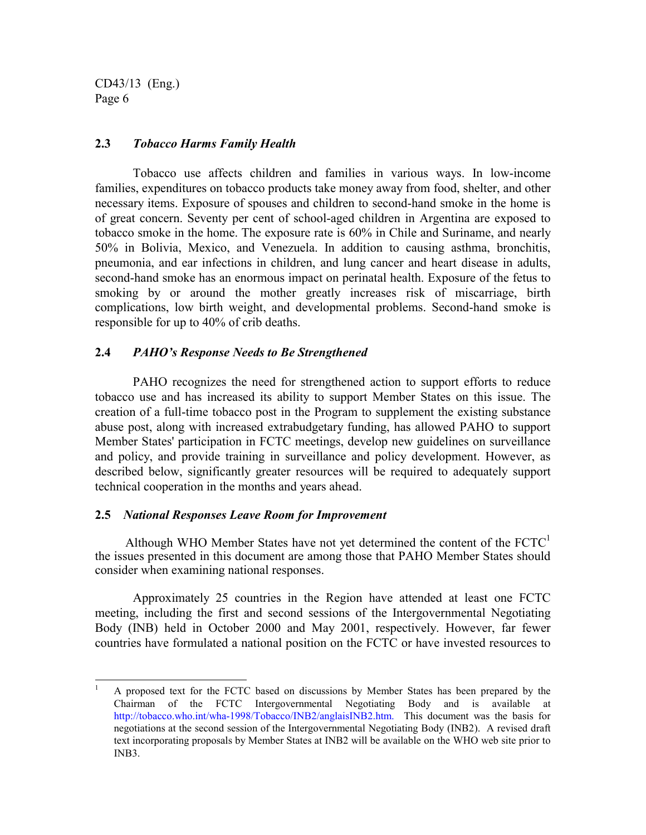#### **2.3** *Tobacco Harms Family Health*

Tobacco use affects children and families in various ways. In low-income families, expenditures on tobacco products take money away from food, shelter, and other necessary items. Exposure of spouses and children to second-hand smoke in the home is of great concern. Seventy per cent of school-aged children in Argentina are exposed to tobacco smoke in the home. The exposure rate is 60% in Chile and Suriname, and nearly 50% in Bolivia, Mexico, and Venezuela. In addition to causing asthma, bronchitis, pneumonia, and ear infections in children, and lung cancer and heart disease in adults, second-hand smoke has an enormous impact on perinatal health. Exposure of the fetus to smoking by or around the mother greatly increases risk of miscarriage, birth complications, low birth weight, and developmental problems. Second-hand smoke is responsible for up to 40% of crib deaths.

#### **2.4** *PAHO's Response Needs to Be Strengthened*

PAHO recognizes the need for strengthened action to support efforts to reduce tobacco use and has increased its ability to support Member States on this issue. The creation of a full-time tobacco post in the Program to supplement the existing substance abuse post, along with increased extrabudgetary funding, has allowed PAHO to support Member States' participation in FCTC meetings, develop new guidelines on surveillance and policy, and provide training in surveillance and policy development. However, as described below, significantly greater resources will be required to adequately support technical cooperation in the months and years ahead.

#### **2.5** *National Responses Leave Room for Improvement*

Although WHO Member States have not yet determined the content of the  $FCTC<sup>1</sup>$ the issues presented in this document are among those that PAHO Member States should consider when examining national responses.

Approximately 25 countries in the Region have attended at least one FCTC meeting, including the first and second sessions of the Intergovernmental Negotiating Body (INB) held in October 2000 and May 2001, respectively. However, far fewer countries have formulated a national position on the FCTC or have invested resources to

 $\mathbf{1}$ <sup>1</sup> A proposed text for the FCTC based on discussions by Member States has been prepared by the Chairman of the FCTC Intergovernmental Negotiating Body and is available at http://tobacco.who.int/wha-1998/Tobacco/INB2/anglaisINB2.htm. This document was the basis for negotiations at the second session of the Intergovernmental Negotiating Body (INB2). A revised draft text incorporating proposals by Member States at INB2 will be available on the WHO web site prior to INB3.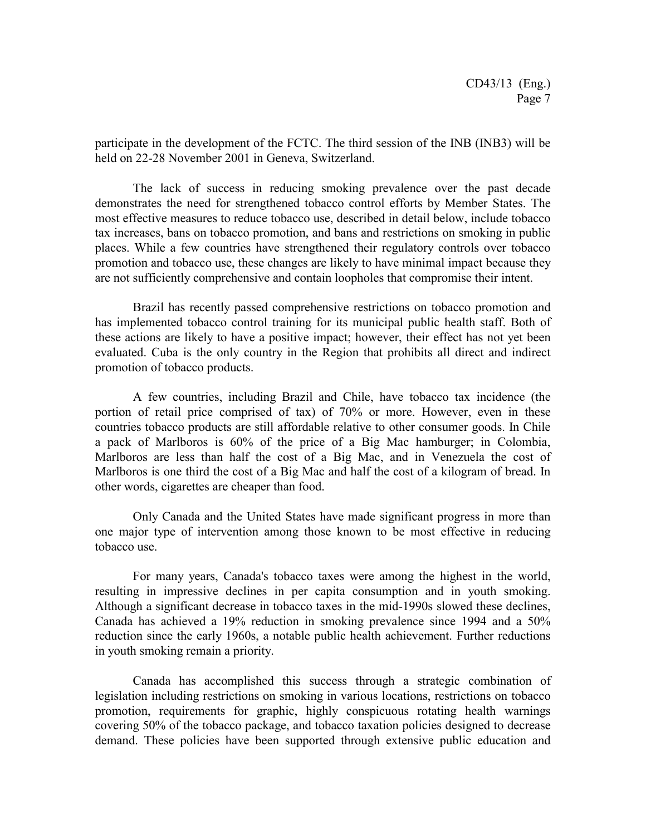participate in the development of the FCTC. The third session of the INB (INB3) will be held on 22-28 November 2001 in Geneva, Switzerland.

The lack of success in reducing smoking prevalence over the past decade demonstrates the need for strengthened tobacco control efforts by Member States. The most effective measures to reduce tobacco use, described in detail below, include tobacco tax increases, bans on tobacco promotion, and bans and restrictions on smoking in public places. While a few countries have strengthened their regulatory controls over tobacco promotion and tobacco use, these changes are likely to have minimal impact because they are not sufficiently comprehensive and contain loopholes that compromise their intent.

Brazil has recently passed comprehensive restrictions on tobacco promotion and has implemented tobacco control training for its municipal public health staff. Both of these actions are likely to have a positive impact; however, their effect has not yet been evaluated. Cuba is the only country in the Region that prohibits all direct and indirect promotion of tobacco products.

A few countries, including Brazil and Chile, have tobacco tax incidence (the portion of retail price comprised of tax) of 70% or more. However, even in these countries tobacco products are still affordable relative to other consumer goods. In Chile a pack of Marlboros is 60% of the price of a Big Mac hamburger; in Colombia, Marlboros are less than half the cost of a Big Mac, and in Venezuela the cost of Marlboros is one third the cost of a Big Mac and half the cost of a kilogram of bread. In other words, cigarettes are cheaper than food.

Only Canada and the United States have made significant progress in more than one major type of intervention among those known to be most effective in reducing tobacco use.

For many years, Canada's tobacco taxes were among the highest in the world, resulting in impressive declines in per capita consumption and in youth smoking. Although a significant decrease in tobacco taxes in the mid-1990s slowed these declines, Canada has achieved a 19% reduction in smoking prevalence since 1994 and a 50% reduction since the early 1960s, a notable public health achievement. Further reductions in youth smoking remain a priority.

Canada has accomplished this success through a strategic combination of legislation including restrictions on smoking in various locations, restrictions on tobacco promotion, requirements for graphic, highly conspicuous rotating health warnings covering 50% of the tobacco package, and tobacco taxation policies designed to decrease demand. These policies have been supported through extensive public education and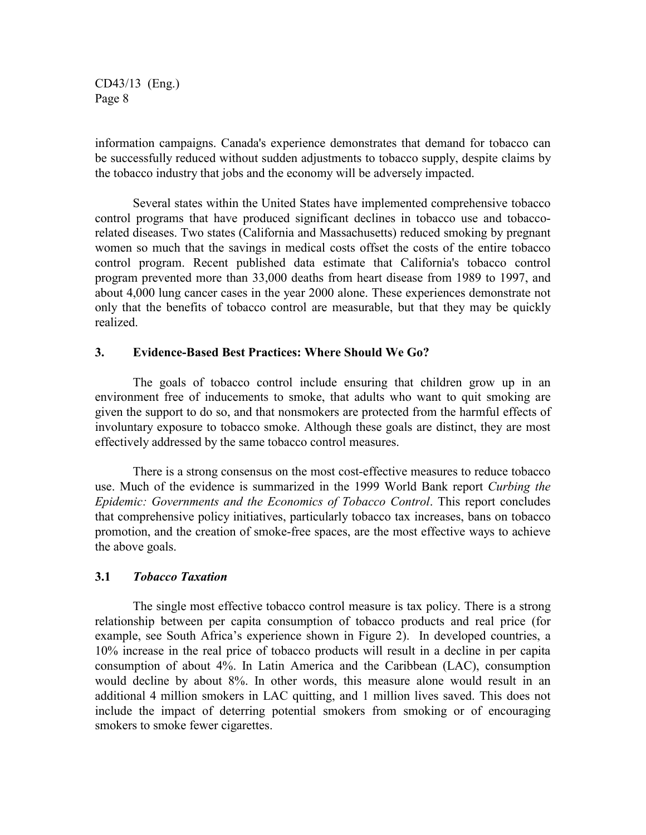information campaigns. Canada's experience demonstrates that demand for tobacco can be successfully reduced without sudden adjustments to tobacco supply, despite claims by the tobacco industry that jobs and the economy will be adversely impacted.

Several states within the United States have implemented comprehensive tobacco control programs that have produced significant declines in tobacco use and tobaccorelated diseases. Two states (California and Massachusetts) reduced smoking by pregnant women so much that the savings in medical costs offset the costs of the entire tobacco control program. Recent published data estimate that California's tobacco control program prevented more than 33,000 deaths from heart disease from 1989 to 1997, and about 4,000 lung cancer cases in the year 2000 alone. These experiences demonstrate not only that the benefits of tobacco control are measurable, but that they may be quickly realized.

#### **3. Evidence-Based Best Practices: Where Should We Go?**

The goals of tobacco control include ensuring that children grow up in an environment free of inducements to smoke, that adults who want to quit smoking are given the support to do so, and that nonsmokers are protected from the harmful effects of involuntary exposure to tobacco smoke. Although these goals are distinct, they are most effectively addressed by the same tobacco control measures.

There is a strong consensus on the most cost-effective measures to reduce tobacco use. Much of the evidence is summarized in the 1999 World Bank report *Curbing the Epidemic: Governments and the Economics of Tobacco Control*. This report concludes that comprehensive policy initiatives, particularly tobacco tax increases, bans on tobacco promotion, and the creation of smoke-free spaces, are the most effective ways to achieve the above goals.

#### **3.1** *Tobacco Taxation*

The single most effective tobacco control measure is tax policy. There is a strong relationship between per capita consumption of tobacco products and real price (for example, see South Africa's experience shown in Figure 2). In developed countries, a 10% increase in the real price of tobacco products will result in a decline in per capita consumption of about 4%. In Latin America and the Caribbean (LAC), consumption would decline by about 8%. In other words, this measure alone would result in an additional 4 million smokers in LAC quitting, and 1 million lives saved. This does not include the impact of deterring potential smokers from smoking or of encouraging smokers to smoke fewer cigarettes.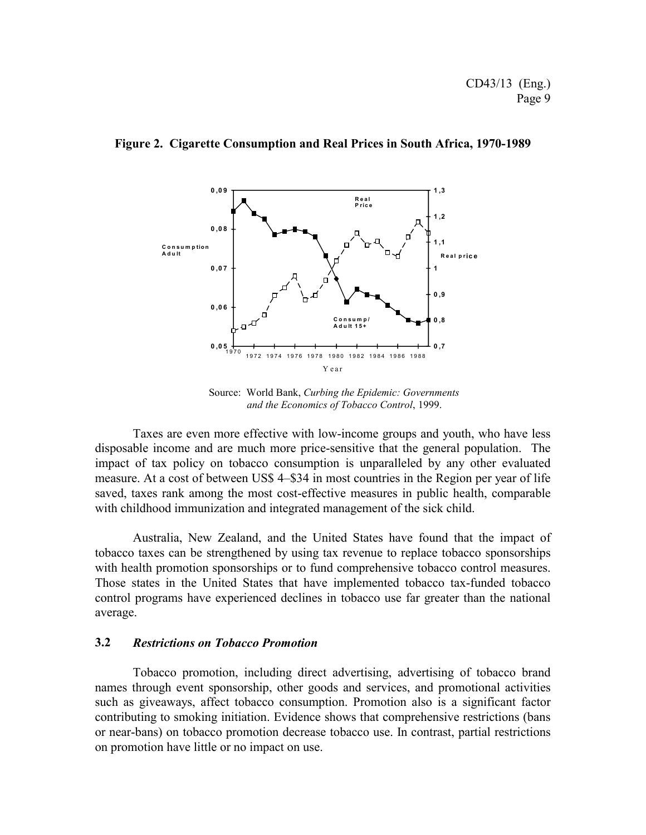

#### **Figure 2. Cigarette Consumption and Real Prices in South Africa, 1970-1989**

Source: World Bank, *Curbing the Epidemic: Governments and the Economics of Tobacco Control*, 1999.

Taxes are even more effective with low-income groups and youth, who have less disposable income and are much more price-sensitive that the general population. The impact of tax policy on tobacco consumption is unparalleled by any other evaluated measure. At a cost of between US\$ 4–\$34 in most countries in the Region per year of life saved, taxes rank among the most cost-effective measures in public health, comparable with childhood immunization and integrated management of the sick child.

Australia, New Zealand, and the United States have found that the impact of tobacco taxes can be strengthened by using tax revenue to replace tobacco sponsorships with health promotion sponsorships or to fund comprehensive tobacco control measures. Those states in the United States that have implemented tobacco tax-funded tobacco control programs have experienced declines in tobacco use far greater than the national average.

#### **3.2** *Restrictions on Tobacco Promotion*

Tobacco promotion, including direct advertising, advertising of tobacco brand names through event sponsorship, other goods and services, and promotional activities such as giveaways, affect tobacco consumption. Promotion also is a significant factor contributing to smoking initiation. Evidence shows that comprehensive restrictions (bans or near-bans) on tobacco promotion decrease tobacco use. In contrast, partial restrictions on promotion have little or no impact on use.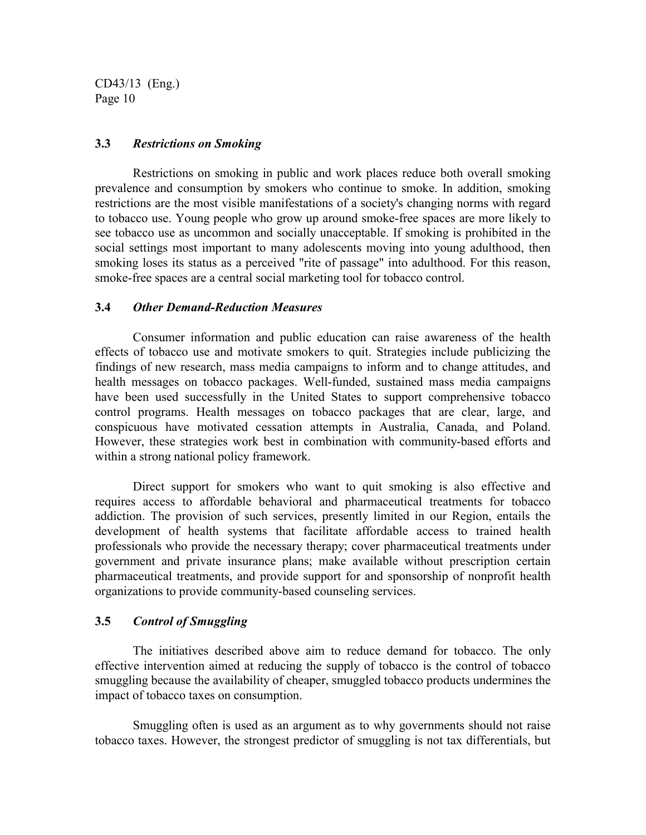#### **3.3** *Restrictions on Smoking*

Restrictions on smoking in public and work places reduce both overall smoking prevalence and consumption by smokers who continue to smoke. In addition, smoking restrictions are the most visible manifestations of a society's changing norms with regard to tobacco use. Young people who grow up around smoke-free spaces are more likely to see tobacco use as uncommon and socially unacceptable. If smoking is prohibited in the social settings most important to many adolescents moving into young adulthood, then smoking loses its status as a perceived "rite of passage" into adulthood. For this reason, smoke-free spaces are a central social marketing tool for tobacco control.

#### **3.4** *Other Demand-Reduction Measures*

Consumer information and public education can raise awareness of the health effects of tobacco use and motivate smokers to quit. Strategies include publicizing the findings of new research, mass media campaigns to inform and to change attitudes, and health messages on tobacco packages. Well-funded, sustained mass media campaigns have been used successfully in the United States to support comprehensive tobacco control programs. Health messages on tobacco packages that are clear, large, and conspicuous have motivated cessation attempts in Australia, Canada, and Poland. However, these strategies work best in combination with community-based efforts and within a strong national policy framework.

Direct support for smokers who want to quit smoking is also effective and requires access to affordable behavioral and pharmaceutical treatments for tobacco addiction. The provision of such services, presently limited in our Region, entails the development of health systems that facilitate affordable access to trained health professionals who provide the necessary therapy; cover pharmaceutical treatments under government and private insurance plans; make available without prescription certain pharmaceutical treatments, and provide support for and sponsorship of nonprofit health organizations to provide community-based counseling services.

#### **3.5** *Control of Smuggling*

The initiatives described above aim to reduce demand for tobacco. The only effective intervention aimed at reducing the supply of tobacco is the control of tobacco smuggling because the availability of cheaper, smuggled tobacco products undermines the impact of tobacco taxes on consumption.

Smuggling often is used as an argument as to why governments should not raise tobacco taxes. However, the strongest predictor of smuggling is not tax differentials, but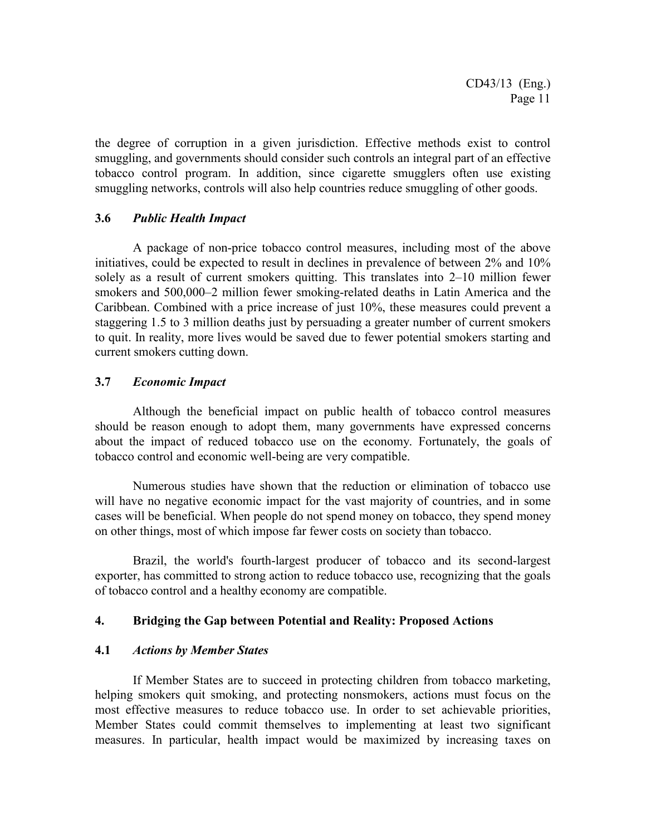the degree of corruption in a given jurisdiction. Effective methods exist to control smuggling, and governments should consider such controls an integral part of an effective tobacco control program. In addition, since cigarette smugglers often use existing smuggling networks, controls will also help countries reduce smuggling of other goods.

#### **3.6** *Public Health Impact*

A package of non-price tobacco control measures, including most of the above initiatives, could be expected to result in declines in prevalence of between 2% and 10% solely as a result of current smokers quitting. This translates into 2–10 million fewer smokers and 500,000–2 million fewer smoking-related deaths in Latin America and the Caribbean. Combined with a price increase of just 10%, these measures could prevent a staggering 1.5 to 3 million deaths just by persuading a greater number of current smokers to quit. In reality, more lives would be saved due to fewer potential smokers starting and current smokers cutting down.

## **3.7** *Economic Impact*

Although the beneficial impact on public health of tobacco control measures should be reason enough to adopt them, many governments have expressed concerns about the impact of reduced tobacco use on the economy. Fortunately, the goals of tobacco control and economic well-being are very compatible.

Numerous studies have shown that the reduction or elimination of tobacco use will have no negative economic impact for the vast majority of countries, and in some cases will be beneficial. When people do not spend money on tobacco, they spend money on other things, most of which impose far fewer costs on society than tobacco.

Brazil, the world's fourth-largest producer of tobacco and its second-largest exporter, has committed to strong action to reduce tobacco use, recognizing that the goals of tobacco control and a healthy economy are compatible.

#### **4. Bridging the Gap between Potential and Reality: Proposed Actions**

#### **4.1** *Actions by Member States*

If Member States are to succeed in protecting children from tobacco marketing, helping smokers quit smoking, and protecting nonsmokers, actions must focus on the most effective measures to reduce tobacco use. In order to set achievable priorities, Member States could commit themselves to implementing at least two significant measures. In particular, health impact would be maximized by increasing taxes on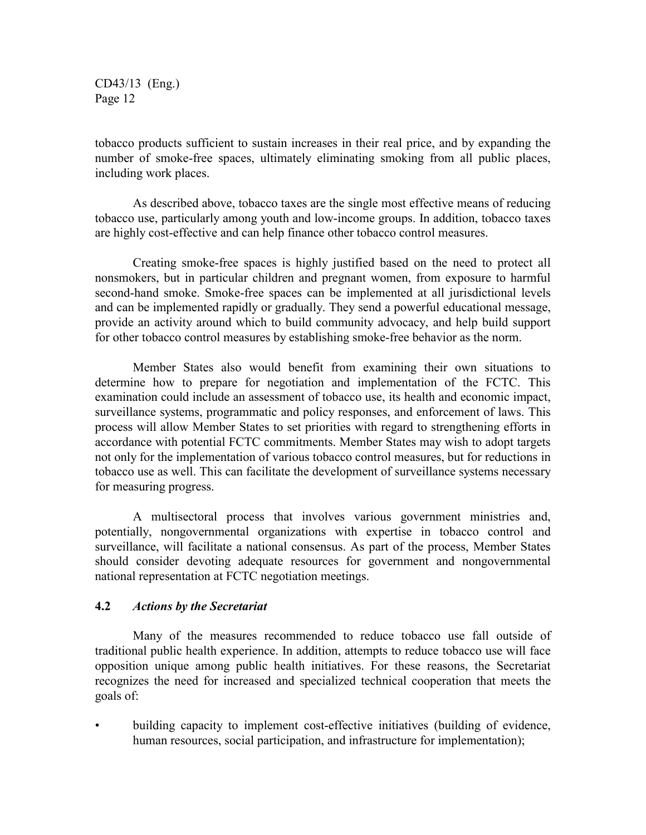tobacco products sufficient to sustain increases in their real price, and by expanding the number of smoke-free spaces, ultimately eliminating smoking from all public places, including work places.

As described above, tobacco taxes are the single most effective means of reducing tobacco use, particularly among youth and low-income groups. In addition, tobacco taxes are highly cost-effective and can help finance other tobacco control measures.

Creating smoke-free spaces is highly justified based on the need to protect all nonsmokers, but in particular children and pregnant women, from exposure to harmful second-hand smoke. Smoke-free spaces can be implemented at all jurisdictional levels and can be implemented rapidly or gradually. They send a powerful educational message, provide an activity around which to build community advocacy, and help build support for other tobacco control measures by establishing smoke-free behavior as the norm.

Member States also would benefit from examining their own situations to determine how to prepare for negotiation and implementation of the FCTC. This examination could include an assessment of tobacco use, its health and economic impact, surveillance systems, programmatic and policy responses, and enforcement of laws. This process will allow Member States to set priorities with regard to strengthening efforts in accordance with potential FCTC commitments. Member States may wish to adopt targets not only for the implementation of various tobacco control measures, but for reductions in tobacco use as well. This can facilitate the development of surveillance systems necessary for measuring progress.

A multisectoral process that involves various government ministries and, potentially, nongovernmental organizations with expertise in tobacco control and surveillance, will facilitate a national consensus. As part of the process, Member States should consider devoting adequate resources for government and nongovernmental national representation at FCTC negotiation meetings.

#### **4.2** *Actions by the Secretariat*

Many of the measures recommended to reduce tobacco use fall outside of traditional public health experience. In addition, attempts to reduce tobacco use will face opposition unique among public health initiatives. For these reasons, the Secretariat recognizes the need for increased and specialized technical cooperation that meets the goals of:

• building capacity to implement cost-effective initiatives (building of evidence, human resources, social participation, and infrastructure for implementation);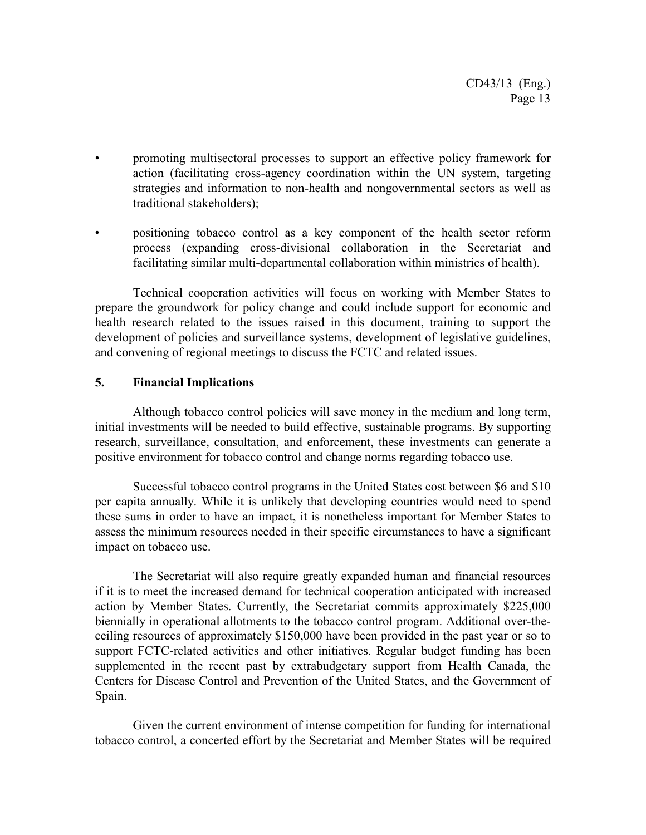- promoting multisectoral processes to support an effective policy framework for action (facilitating cross-agency coordination within the UN system, targeting strategies and information to non-health and nongovernmental sectors as well as traditional stakeholders);
- positioning tobacco control as a key component of the health sector reform process (expanding cross-divisional collaboration in the Secretariat and facilitating similar multi-departmental collaboration within ministries of health).

Technical cooperation activities will focus on working with Member States to prepare the groundwork for policy change and could include support for economic and health research related to the issues raised in this document, training to support the development of policies and surveillance systems, development of legislative guidelines, and convening of regional meetings to discuss the FCTC and related issues.

## **5. Financial Implications**

Although tobacco control policies will save money in the medium and long term, initial investments will be needed to build effective, sustainable programs. By supporting research, surveillance, consultation, and enforcement, these investments can generate a positive environment for tobacco control and change norms regarding tobacco use.

Successful tobacco control programs in the United States cost between \$6 and \$10 per capita annually. While it is unlikely that developing countries would need to spend these sums in order to have an impact, it is nonetheless important for Member States to assess the minimum resources needed in their specific circumstances to have a significant impact on tobacco use.

The Secretariat will also require greatly expanded human and financial resources if it is to meet the increased demand for technical cooperation anticipated with increased action by Member States. Currently, the Secretariat commits approximately \$225,000 biennially in operational allotments to the tobacco control program. Additional over-theceiling resources of approximately \$150,000 have been provided in the past year or so to support FCTC-related activities and other initiatives. Regular budget funding has been supplemented in the recent past by extrabudgetary support from Health Canada, the Centers for Disease Control and Prevention of the United States, and the Government of Spain.

Given the current environment of intense competition for funding for international tobacco control, a concerted effort by the Secretariat and Member States will be required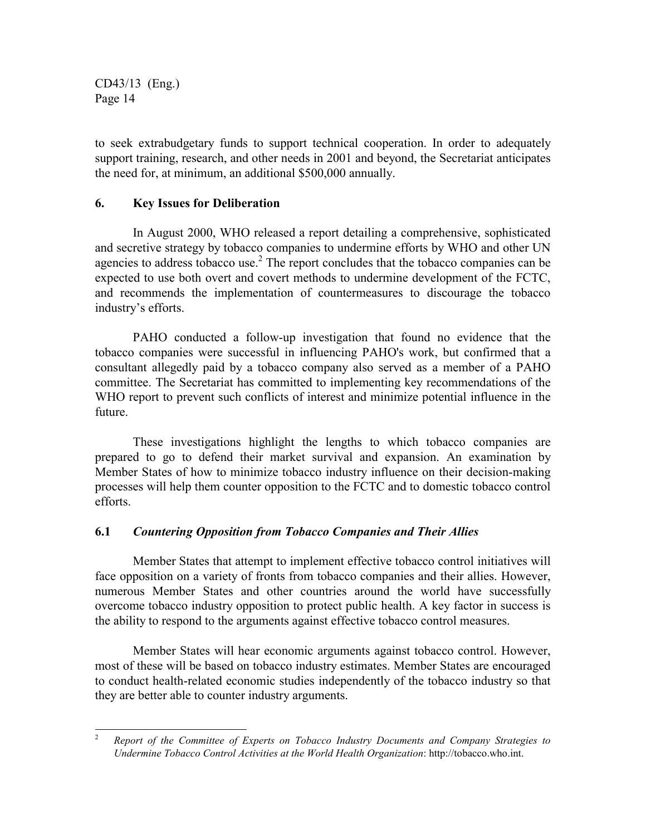to seek extrabudgetary funds to support technical cooperation. In order to adequately support training, research, and other needs in 2001 and beyond, the Secretariat anticipates the need for, at minimum, an additional \$500,000 annually.

## **6. Key Issues for Deliberation**

In August 2000, WHO released a report detailing a comprehensive, sophisticated and secretive strategy by tobacco companies to undermine efforts by WHO and other UN agencies to address tobacco use. $<sup>2</sup>$  The report concludes that the tobacco companies can be</sup> expected to use both overt and covert methods to undermine development of the FCTC, and recommends the implementation of countermeasures to discourage the tobacco industry's efforts.

PAHO conducted a follow-up investigation that found no evidence that the tobacco companies were successful in influencing PAHO's work, but confirmed that a consultant allegedly paid by a tobacco company also served as a member of a PAHO committee. The Secretariat has committed to implementing key recommendations of the WHO report to prevent such conflicts of interest and minimize potential influence in the future.

These investigations highlight the lengths to which tobacco companies are prepared to go to defend their market survival and expansion. An examination by Member States of how to minimize tobacco industry influence on their decision-making processes will help them counter opposition to the FCTC and to domestic tobacco control efforts.

# **6.1** *Countering Opposition from Tobacco Companies and Their Allies*

Member States that attempt to implement effective tobacco control initiatives will face opposition on a variety of fronts from tobacco companies and their allies. However, numerous Member States and other countries around the world have successfully overcome tobacco industry opposition to protect public health. A key factor in success is the ability to respond to the arguments against effective tobacco control measures.

Member States will hear economic arguments against tobacco control. However, most of these will be based on tobacco industry estimates. Member States are encouraged to conduct health-related economic studies independently of the tobacco industry so that they are better able to counter industry arguments.

 $\overline{c}$ <sup>2</sup> *Report of the Committee of Experts on Tobacco Industry Documents and Company Strategies to Undermine Tobacco Control Activities at the World Health Organization*: http://tobacco.who.int.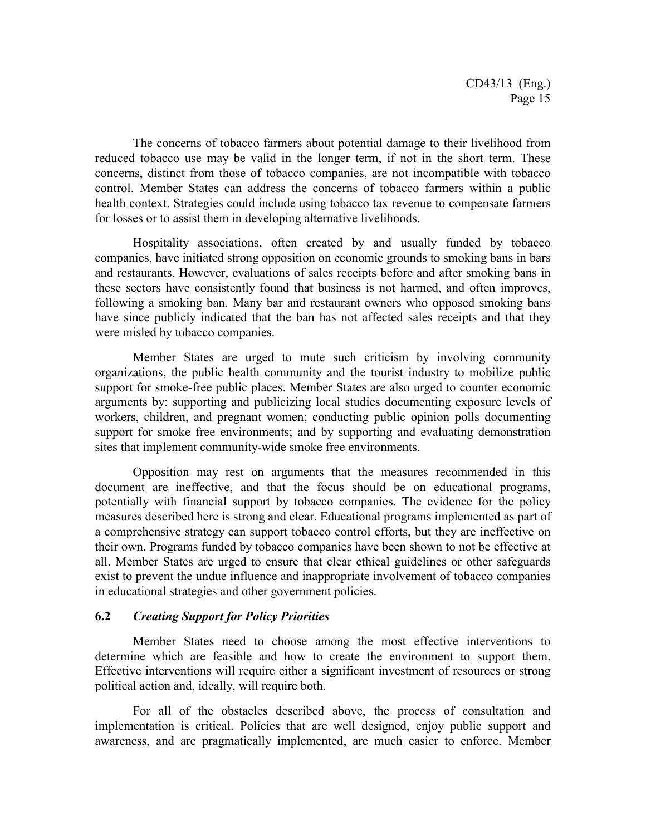The concerns of tobacco farmers about potential damage to their livelihood from reduced tobacco use may be valid in the longer term, if not in the short term. These concerns, distinct from those of tobacco companies, are not incompatible with tobacco control. Member States can address the concerns of tobacco farmers within a public health context. Strategies could include using tobacco tax revenue to compensate farmers for losses or to assist them in developing alternative livelihoods.

Hospitality associations, often created by and usually funded by tobacco companies, have initiated strong opposition on economic grounds to smoking bans in bars and restaurants. However, evaluations of sales receipts before and after smoking bans in these sectors have consistently found that business is not harmed, and often improves, following a smoking ban. Many bar and restaurant owners who opposed smoking bans have since publicly indicated that the ban has not affected sales receipts and that they were misled by tobacco companies.

Member States are urged to mute such criticism by involving community organizations, the public health community and the tourist industry to mobilize public support for smoke-free public places. Member States are also urged to counter economic arguments by: supporting and publicizing local studies documenting exposure levels of workers, children, and pregnant women; conducting public opinion polls documenting support for smoke free environments; and by supporting and evaluating demonstration sites that implement community-wide smoke free environments.

Opposition may rest on arguments that the measures recommended in this document are ineffective, and that the focus should be on educational programs, potentially with financial support by tobacco companies. The evidence for the policy measures described here is strong and clear. Educational programs implemented as part of a comprehensive strategy can support tobacco control efforts, but they are ineffective on their own. Programs funded by tobacco companies have been shown to not be effective at all. Member States are urged to ensure that clear ethical guidelines or other safeguards exist to prevent the undue influence and inappropriate involvement of tobacco companies in educational strategies and other government policies.

#### **6.2** *Creating Support for Policy Priorities*

Member States need to choose among the most effective interventions to determine which are feasible and how to create the environment to support them. Effective interventions will require either a significant investment of resources or strong political action and, ideally, will require both.

For all of the obstacles described above, the process of consultation and implementation is critical. Policies that are well designed, enjoy public support and awareness, and are pragmatically implemented, are much easier to enforce. Member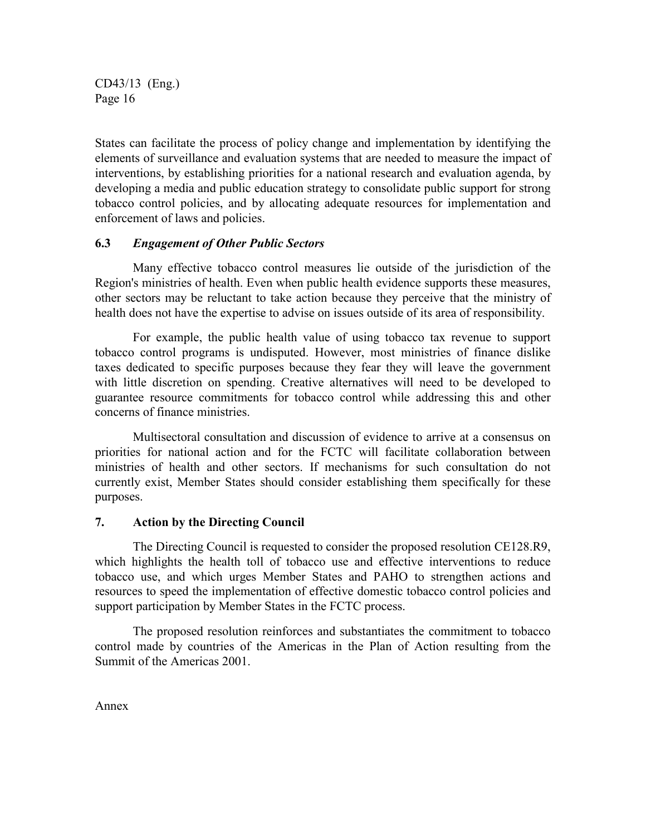States can facilitate the process of policy change and implementation by identifying the elements of surveillance and evaluation systems that are needed to measure the impact of interventions, by establishing priorities for a national research and evaluation agenda, by developing a media and public education strategy to consolidate public support for strong tobacco control policies, and by allocating adequate resources for implementation and enforcement of laws and policies.

## **6.3** *Engagement of Other Public Sectors*

Many effective tobacco control measures lie outside of the jurisdiction of the Region's ministries of health. Even when public health evidence supports these measures, other sectors may be reluctant to take action because they perceive that the ministry of health does not have the expertise to advise on issues outside of its area of responsibility.

For example, the public health value of using tobacco tax revenue to support tobacco control programs is undisputed. However, most ministries of finance dislike taxes dedicated to specific purposes because they fear they will leave the government with little discretion on spending. Creative alternatives will need to be developed to guarantee resource commitments for tobacco control while addressing this and other concerns of finance ministries.

Multisectoral consultation and discussion of evidence to arrive at a consensus on priorities for national action and for the FCTC will facilitate collaboration between ministries of health and other sectors. If mechanisms for such consultation do not currently exist, Member States should consider establishing them specifically for these purposes.

#### **7. Action by the Directing Council**

The Directing Council is requested to consider the proposed resolution CE128.R9, which highlights the health toll of tobacco use and effective interventions to reduce tobacco use, and which urges Member States and PAHO to strengthen actions and resources to speed the implementation of effective domestic tobacco control policies and support participation by Member States in the FCTC process.

The proposed resolution reinforces and substantiates the commitment to tobacco control made by countries of the Americas in the Plan of Action resulting from the Summit of the Americas 2001.

Annex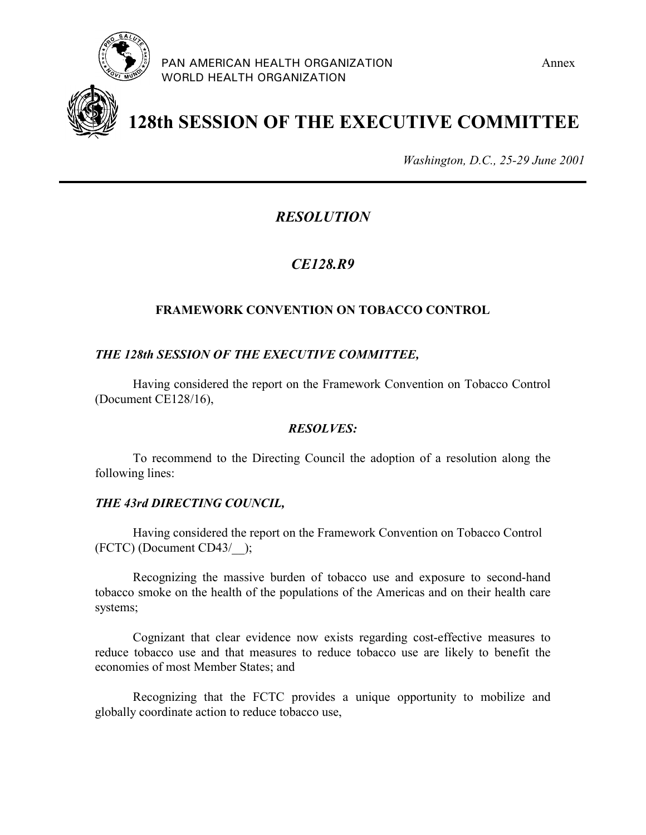



**128th SESSION OF THE EXECUTIVE COMMITTEE**

*Washington, D.C., 25-29 June 2001*

# *RESOLUTION*

# *CE128.R9*

# **FRAMEWORK CONVENTION ON TOBACCO CONTROL**

# *THE 128th SESSION OF THE EXECUTIVE COMMITTEE,*

Having considered the report on the Framework Convention on Tobacco Control (Document CE128/16),

# *RESOLVES:*

To recommend to the Directing Council the adoption of a resolution along the following lines:

# *THE 43rd DIRECTING COUNCIL,*

Having considered the report on the Framework Convention on Tobacco Control (FCTC) (Document CD43/\_\_);

Recognizing the massive burden of tobacco use and exposure to second-hand tobacco smoke on the health of the populations of the Americas and on their health care systems;

Cognizant that clear evidence now exists regarding cost-effective measures to reduce tobacco use and that measures to reduce tobacco use are likely to benefit the economies of most Member States; and

Recognizing that the FCTC provides a unique opportunity to mobilize and globally coordinate action to reduce tobacco use,